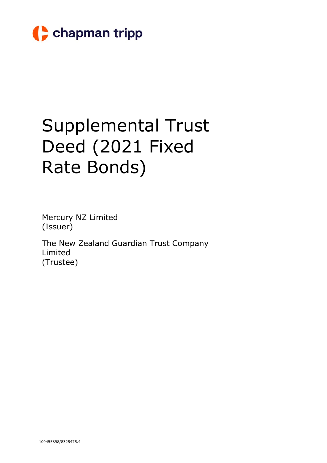

# Supplemental Trust Deed (2021 Fixed Rate Bonds)

Mercury NZ Limited (Issuer)

The New Zealand Guardian Trust Company Limited (Trustee)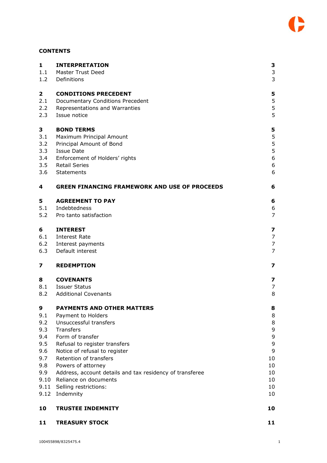# **CONTENTS**

| $\mathbf{1}$<br>1.1     | <b>INTERPRETATION</b><br><b>Master Trust Deed</b>                              | 3<br>3         |
|-------------------------|--------------------------------------------------------------------------------|----------------|
| 1.2                     | Definitions                                                                    | 3              |
| 2                       | <b>CONDITIONS PRECEDENT</b>                                                    | 5              |
| 2.1                     | Documentary Conditions Precedent                                               | 5              |
| 2.2                     | Representations and Warranties                                                 | 5              |
| 2.3                     | Issue notice                                                                   | 5              |
| 3                       | <b>BOND TERMS</b>                                                              | 5              |
| 3.1                     | Maximum Principal Amount                                                       | 5              |
| 3.2                     | Principal Amount of Bond                                                       | 5              |
| 3.3                     | <b>Issue Date</b>                                                              | 5              |
| 3.4                     | Enforcement of Holders' rights                                                 | 6              |
| 3.5                     | Retail Series                                                                  | 6              |
| 3.6                     | Statements                                                                     | 6              |
| 4                       | <b>GREEN FINANCING FRAMEWORK AND USE OF PROCEEDS</b>                           | 6              |
| 5                       | <b>AGREEMENT TO PAY</b>                                                        | 6              |
| 5.1                     | Indebtedness                                                                   | 6              |
| 5.2                     | Pro tanto satisfaction                                                         | $\overline{7}$ |
| 6                       | <b>INTEREST</b>                                                                | 7              |
| 6.1                     | Interest Rate                                                                  | 7              |
| 6.2                     | Interest payments                                                              | 7              |
| 6.3                     | Default interest                                                               | $\overline{7}$ |
| $\overline{\mathbf{z}}$ | <b>REDEMPTION</b>                                                              | 7              |
| 8                       | <b>COVENANTS</b>                                                               | 7              |
| 8.1                     | Issuer Status                                                                  | 7              |
| 8.2                     | <b>Additional Covenants</b>                                                    | 8              |
| 9                       | <b>PAYMENTS AND OTHER MATTERS</b>                                              | 8              |
| 9.1                     | Payment to Holders                                                             | 8              |
| 9.2                     | Unsuccessful transfers                                                         | 8              |
| 9.3                     | Transfers                                                                      | 9              |
| 9.4                     | Form of transfer                                                               | 9              |
| 9.5                     | Refusal to register transfers                                                  | 9<br>9         |
| 9.6<br>9.7              | Notice of refusal to register<br>Retention of transfers                        | 10             |
| 9.8                     |                                                                                | 10             |
| 9.9                     | Powers of attorney<br>Address, account details and tax residency of transferee | 10             |
| 9.10                    | Reliance on documents                                                          | 10             |
|                         | 9.11 Selling restrictions:                                                     | 10             |
| 9.12                    | Indemnity                                                                      | 10             |
| 10                      | <b>TRUSTEE INDEMNITY</b>                                                       | 10             |
| 11                      | <b>TREASURY STOCK</b>                                                          | 11             |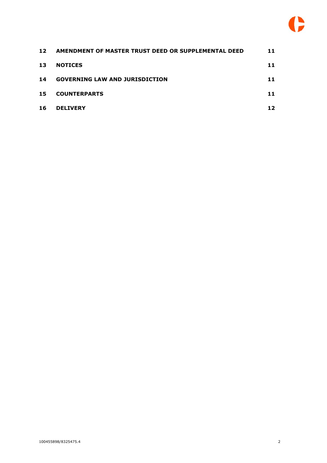

| 12 | AMENDMENT OF MASTER TRUST DEED OR SUPPLEMENTAL DEED | 11 |
|----|-----------------------------------------------------|----|
| 13 | <b>NOTICES</b>                                      | 11 |
| 14 | <b>GOVERNING LAW AND JURISDICTION</b>               | 11 |
| 15 | <b>COUNTERPARTS</b>                                 | 11 |
| 16 | <b>DELIVERY</b>                                     | 12 |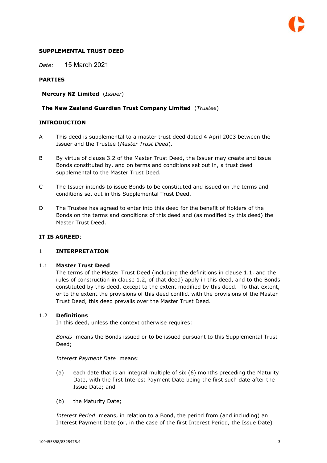

#### **SUPPLEMENTAL TRUST DEED**

*Date:* 15 March 2021

#### **PARTIES**

**Mercury NZ Limited** (*Issuer*)

#### **The New Zealand Guardian Trust Company Limited** (*Trustee*)

#### **INTRODUCTION**

- A This deed is supplemental to a master trust deed dated 4 April 2003 between the Issuer and the Trustee (*Master Trust Deed*).
- B By virtue of clause 3.2 of the Master Trust Deed, the Issuer may create and issue Bonds constituted by, and on terms and conditions set out in, a trust deed supplemental to the Master Trust Deed.
- C The Issuer intends to issue Bonds to be constituted and issued on the terms and conditions set out in this Supplemental Trust Deed.
- D The Trustee has agreed to enter into this deed for the benefit of Holders of the Bonds on the terms and conditions of this deed and (as modified by this deed) the Master Trust Deed.

#### **IT IS AGREED**:

#### 1 **INTERPRETATION**

#### 1.1 **Master Trust Deed**

The terms of the Master Trust Deed (including the definitions in clause 1.1, and the rules of construction in clause 1.2, of that deed) apply in this deed, and to the Bonds constituted by this deed, except to the extent modified by this deed. To that extent, or to the extent the provisions of this deed conflict with the provisions of the Master Trust Deed, this deed prevails over the Master Trust Deed.

#### 1.2 **Definitions**

In this deed, unless the context otherwise requires:

*Bonds* means the Bonds issued or to be issued pursuant to this Supplemental Trust Deed;

#### *Interest Payment Date* means:

- (a) each date that is an integral multiple of six (6) months preceding the Maturity Date, with the first Interest Payment Date being the first such date after the Issue Date; and
- (b) the Maturity Date;

*Interest Period* means, in relation to a Bond, the period from (and including) an Interest Payment Date (or, in the case of the first Interest Period, the Issue Date)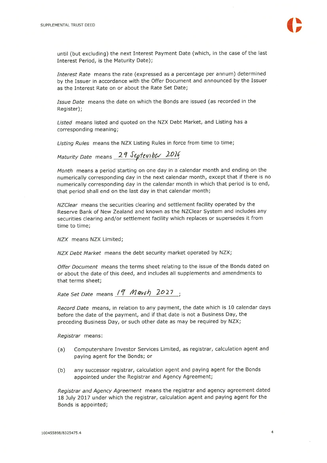

until (but excluding) the next Interest Payment Date (which, in the case of the last Interest Period, is the Maturity Date);

Interest Rate means the rate (expressed as a percentage per annum) determined by the Issuer in accordance with the Offer Document and announced by the Issuer as the Interest Rate on or about the Rate Set Date;

Issue Date means the date on which the Bonds are issued (as recorded in the Register);

Listed means listed and quoted on the NZX Debt Market, and Listing has a corresponding meaning;

Listing Rules means the NZX Listing Rules in force from time to time;

Maturity Date means 29 September 2016

Month means a period starting on one day in a calendar month and ending on the numerically corresponding day in the next calendar month, except that if there is no numerically corresponding day in the calendar month in which that period is to end, that period shall end on the last day in that calendar month;

NZClear means the securities clearing and settlement facility operated by the Reserve Bank of New Zealand and known as the NZClear System and includes any securities clearing and/or settlement facility which replaces or supersedes it from time to time;

NZX means NZX Limited;

NZX Debt Market means the debt security market operated by NZX;

Offer Document means the terms sheet relating to the issue of the Bonds dated on or about the date of this deed, and includes all supplements and amendments to that terms sheet;

Rate Set Date means 19 Mavih 2027 :

Record Date means, in relation to any payment, the date which is 10 calendar days before the date of the payment, and if that date is not a Business Day, the preceding Business Day, or such other date as may be required by NZX;

Registrar means:

- Computershare Investor Services Limited, as registrar, calculation agent and  $(a)$ paying agent for the Bonds; or
- any successor registrar, calculation agent and paying agent for the Bonds  $(b)$ appointed under the Registrar and Agency Agreement;

Registrar and Agency Agreement means the registrar and agency agreement dated 18 July 2017 under which the registrar, calculation agent and paying agent for the Bonds is appointed;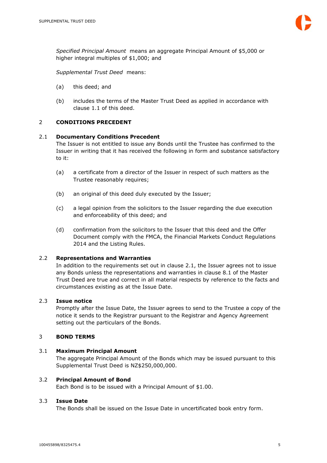*Specified Principal Amount* means an aggregate Principal Amount of \$5,000 or higher integral multiples of \$1,000; and

*Supplemental Trust Deed* means:

- (a) this deed; and
- (b) includes the terms of the Master Trust Deed as applied in accordance with clause 1.1 of this deed.

# 2 **CONDITIONS PRECEDENT**

# 2.1 **Documentary Conditions Precedent**

The Issuer is not entitled to issue any Bonds until the Trustee has confirmed to the Issuer in writing that it has received the following in form and substance satisfactory to it:

- (a) a certificate from a director of the Issuer in respect of such matters as the Trustee reasonably requires;
- (b) an original of this deed duly executed by the Issuer;
- (c) a legal opinion from the solicitors to the Issuer regarding the due execution and enforceability of this deed; and
- (d) confirmation from the solicitors to the Issuer that this deed and the Offer Document comply with the FMCA, the Financial Markets Conduct Regulations 2014 and the Listing Rules.

# 2.2 **Representations and Warranties**

In addition to the requirements set out in clause 2.1, the Issuer agrees not to issue any Bonds unless the representations and warranties in clause 8.1 of the Master Trust Deed are true and correct in all material respects by reference to the facts and circumstances existing as at the Issue Date.

#### 2.3 **Issue notice**

Promptly after the Issue Date, the Issuer agrees to send to the Trustee a copy of the notice it sends to the Registrar pursuant to the Registrar and Agency Agreement setting out the particulars of the Bonds.

#### 3 **BOND TERMS**

#### 3.1 **Maximum Principal Amount**

The aggregate Principal Amount of the Bonds which may be issued pursuant to this Supplemental Trust Deed is NZ\$250,000,000.

#### 3.2 **Principal Amount of Bond**

Each Bond is to be issued with a Principal Amount of \$1.00.

#### 3.3 **Issue Date**

The Bonds shall be issued on the Issue Date in uncertificated book entry form.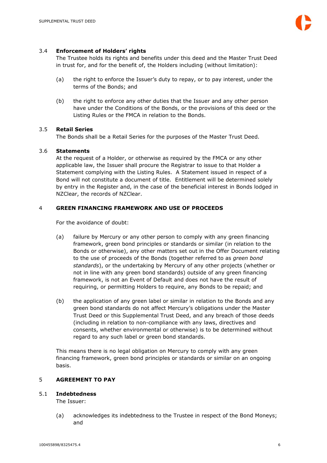# 3.4 **Enforcement of Holders' rights**

The Trustee holds its rights and benefits under this deed and the Master Trust Deed in trust for, and for the benefit of, the Holders including (without limitation):

- (a) the right to enforce the Issuer's duty to repay, or to pay interest, under the terms of the Bonds; and
- (b) the right to enforce any other duties that the Issuer and any other person have under the Conditions of the Bonds, or the provisions of this deed or the Listing Rules or the FMCA in relation to the Bonds.

# 3.5 **Retail Series**

The Bonds shall be a Retail Series for the purposes of the Master Trust Deed.

# 3.6 **Statements**

At the request of a Holder, or otherwise as required by the FMCA or any other applicable law, the Issuer shall procure the Registrar to issue to that Holder a Statement complying with the Listing Rules. A Statement issued in respect of a Bond will not constitute a document of title. Entitlement will be determined solely by entry in the Register and, in the case of the beneficial interest in Bonds lodged in NZClear, the records of NZClear.

# 4 **GREEN FINANCING FRAMEWORK AND USE OF PROCEEDS**

For the avoidance of doubt:

- (a) failure by Mercury or any other person to comply with any green financing framework, green bond principles or standards or similar (in relation to the Bonds or otherwise), any other matters set out in the Offer Document relating to the use of proceeds of the Bonds (together referred to as *green bond standards*), or the undertaking by Mercury of any other projects (whether or not in line with any green bond standards) outside of any green financing framework, is not an Event of Default and does not have the result of requiring, or permitting Holders to require, any Bonds to be repaid; and
- (b) the application of any green label or similar in relation to the Bonds and any green bond standards do not affect Mercury's obligations under the Master Trust Deed or this Supplemental Trust Deed, and any breach of those deeds (including in relation to non-compliance with any laws, directives and consents, whether environmental or otherwise) is to be determined without regard to any such label or green bond standards.

This means there is no legal obligation on Mercury to comply with any green financing framework, green bond principles or standards or similar on an ongoing basis.

#### 5 **AGREEMENT TO PAY**

#### 5.1 **Indebtedness**

The Issuer:

(a) acknowledges its indebtedness to the Trustee in respect of the Bond Moneys; and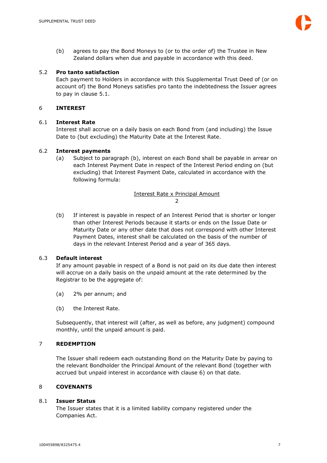(b) agrees to pay the Bond Moneys to (or to the order of) the Trustee in New Zealand dollars when due and payable in accordance with this deed.

# 5.2 **Pro tanto satisfaction**

Each payment to Holders in accordance with this Supplemental Trust Deed of (or on account of) the Bond Moneys satisfies pro tanto the indebtedness the Issuer agrees to pay in clause 5.1.

# 6 **INTEREST**

# 6.1 **Interest Rate**

Interest shall accrue on a daily basis on each Bond from (and including) the Issue Date to (but excluding) the Maturity Date at the Interest Rate.

# 6.2 **Interest payments**

(a) Subject to paragraph (b), interest on each Bond shall be payable in arrear on each Interest Payment Date in respect of the Interest Period ending on (but excluding) that Interest Payment Date, calculated in accordance with the following formula:

> Interest Rate x Principal Amount  $\overline{2}$

(b) If interest is payable in respect of an Interest Period that is shorter or longer than other Interest Periods because it starts or ends on the Issue Date or Maturity Date or any other date that does not correspond with other Interest Payment Dates, interest shall be calculated on the basis of the number of days in the relevant Interest Period and a year of 365 days.

#### 6.3 **Default interest**

If any amount payable in respect of a Bond is not paid on its due date then interest will accrue on a daily basis on the unpaid amount at the rate determined by the Registrar to be the aggregate of:

- (a) 2% per annum; and
- (b) the Interest Rate.

Subsequently, that interest will (after, as well as before, any judgment) compound monthly, until the unpaid amount is paid.

# 7 **REDEMPTION**

The Issuer shall redeem each outstanding Bond on the Maturity Date by paying to the relevant Bondholder the Principal Amount of the relevant Bond (together with accrued but unpaid interest in accordance with clause 6) on that date.

#### 8 **COVENANTS**

#### 8.1 **Issuer Status**

The Issuer states that it is a limited liability company registered under the Companies Act.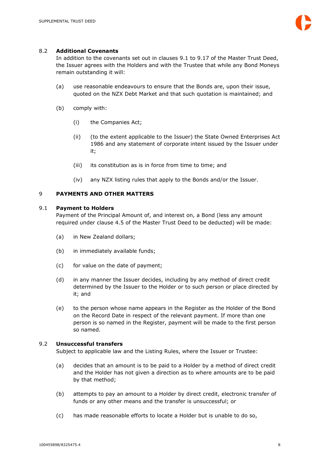# 8.2 **Additional Covenants**

In addition to the covenants set out in clauses 9.1 to 9.17 of the Master Trust Deed, the Issuer agrees with the Holders and with the Trustee that while any Bond Moneys remain outstanding it will:

- (a) use reasonable endeavours to ensure that the Bonds are, upon their issue, quoted on the NZX Debt Market and that such quotation is maintained; and
- (b) comply with:
	- (i) the Companies Act;
	- (ii) (to the extent applicable to the Issuer) the State Owned Enterprises Act 1986 and any statement of corporate intent issued by the Issuer under it;
	- (iii) its constitution as is in force from time to time; and
	- (iv) any NZX listing rules that apply to the Bonds and/or the Issuer.

# 9 **PAYMENTS AND OTHER MATTERS**

#### 9.1 **Payment to Holders**

Payment of the Principal Amount of, and interest on, a Bond (less any amount required under clause 4.5 of the Master Trust Deed to be deducted) will be made:

- (a) in New Zealand dollars;
- (b) in immediately available funds;
- (c) for value on the date of payment;
- (d) in any manner the Issuer decides, including by any method of direct credit determined by the Issuer to the Holder or to such person or place directed by it; and
- (e) to the person whose name appears in the Register as the Holder of the Bond on the Record Date in respect of the relevant payment. If more than one person is so named in the Register, payment will be made to the first person so named.

# 9.2 **Unsuccessful transfers**

Subject to applicable law and the Listing Rules, where the Issuer or Trustee:

- (a) decides that an amount is to be paid to a Holder by a method of direct credit and the Holder has not given a direction as to where amounts are to be paid by that method;
- (b) attempts to pay an amount to a Holder by direct credit, electronic transfer of funds or any other means and the transfer is unsuccessful; or
- (c) has made reasonable efforts to locate a Holder but is unable to do so,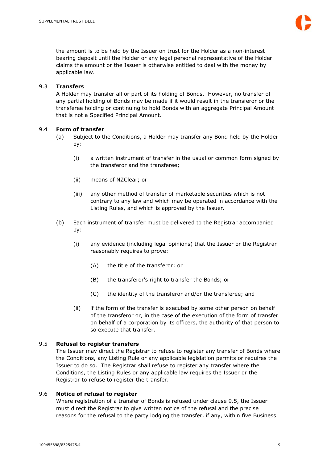the amount is to be held by the Issuer on trust for the Holder as a non-interest bearing deposit until the Holder or any legal personal representative of the Holder claims the amount or the Issuer is otherwise entitled to deal with the money by applicable law.

# 9.3 **Transfers**

A Holder may transfer all or part of its holding of Bonds. However, no transfer of any partial holding of Bonds may be made if it would result in the transferor or the transferee holding or continuing to hold Bonds with an aggregate Principal Amount that is not a Specified Principal Amount.

# 9.4 **Form of transfer**

- (a) Subject to the Conditions, a Holder may transfer any Bond held by the Holder by:
	- (i) a written instrument of transfer in the usual or common form signed by the transferor and the transferee;
	- (ii) means of NZClear; or
	- (iii) any other method of transfer of marketable securities which is not contrary to any law and which may be operated in accordance with the Listing Rules, and which is approved by the Issuer.
- (b) Each instrument of transfer must be delivered to the Registrar accompanied by:
	- (i) any evidence (including legal opinions) that the Issuer or the Registrar reasonably requires to prove:
		- (A) the title of the transferor; or
		- (B) the transferor's right to transfer the Bonds; or
		- (C) the identity of the transferor and/or the transferee; and
	- (ii) if the form of the transfer is executed by some other person on behalf of the transferor or, in the case of the execution of the form of transfer on behalf of a corporation by its officers, the authority of that person to so execute that transfer.

# 9.5 **Refusal to register transfers**

The Issuer may direct the Registrar to refuse to register any transfer of Bonds where the Conditions, any Listing Rule or any applicable legislation permits or requires the Issuer to do so. The Registrar shall refuse to register any transfer where the Conditions, the Listing Rules or any applicable law requires the Issuer or the Registrar to refuse to register the transfer.

# 9.6 **Notice of refusal to register**

Where registration of a transfer of Bonds is refused under clause 9.5, the Issuer must direct the Registrar to give written notice of the refusal and the precise reasons for the refusal to the party lodging the transfer, if any, within five Business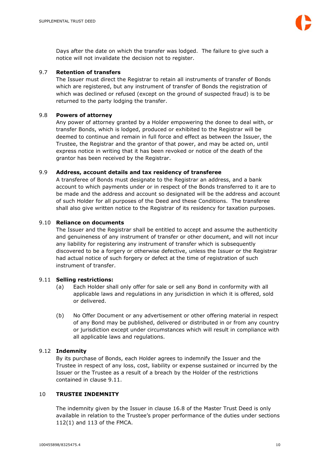Days after the date on which the transfer was lodged. The failure to give such a notice will not invalidate the decision not to register.

# 9.7 **Retention of transfers**

The Issuer must direct the Registrar to retain all instruments of transfer of Bonds which are registered, but any instrument of transfer of Bonds the registration of which was declined or refused (except on the ground of suspected fraud) is to be returned to the party lodging the transfer.

# 9.8 **Powers of attorney**

Any power of attorney granted by a Holder empowering the donee to deal with, or transfer Bonds, which is lodged, produced or exhibited to the Registrar will be deemed to continue and remain in full force and effect as between the Issuer, the Trustee, the Registrar and the grantor of that power, and may be acted on, until express notice in writing that it has been revoked or notice of the death of the grantor has been received by the Registrar.

# 9.9 **Address, account details and tax residency of transferee**

A transferee of Bonds must designate to the Registrar an address, and a bank account to which payments under or in respect of the Bonds transferred to it are to be made and the address and account so designated will be the address and account of such Holder for all purposes of the Deed and these Conditions. The transferee shall also give written notice to the Registrar of its residency for taxation purposes.

#### 9.10 **Reliance on documents**

The Issuer and the Registrar shall be entitled to accept and assume the authenticity and genuineness of any instrument of transfer or other document, and will not incur any liability for registering any instrument of transfer which is subsequently discovered to be a forgery or otherwise defective, unless the Issuer or the Registrar had actual notice of such forgery or defect at the time of registration of such instrument of transfer.

#### 9.11 **Selling restrictions:**

- (a) Each Holder shall only offer for sale or sell any Bond in conformity with all applicable laws and regulations in any jurisdiction in which it is offered, sold or delivered.
- (b) No Offer Document or any advertisement or other offering material in respect of any Bond may be published, delivered or distributed in or from any country or jurisdiction except under circumstances which will result in compliance with all applicable laws and regulations.

#### 9.12 **Indemnity**

By its purchase of Bonds, each Holder agrees to indemnify the Issuer and the Trustee in respect of any loss, cost, liability or expense sustained or incurred by the Issuer or the Trustee as a result of a breach by the Holder of the restrictions contained in clause 9.11.

#### 10 **TRUSTEE INDEMNITY**

The indemnity given by the Issuer in clause 16.8 of the Master Trust Deed is only available in relation to the Trustee's proper performance of the duties under sections 112(1) and 113 of the FMCA.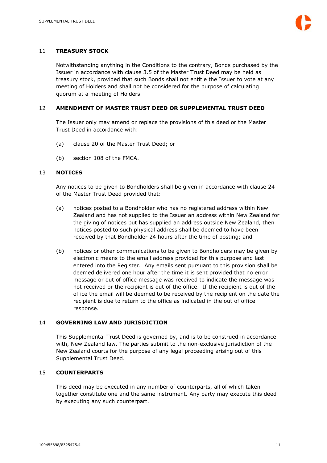# 11 **TREASURY STOCK**

Notwithstanding anything in the Conditions to the contrary, Bonds purchased by the Issuer in accordance with clause 3.5 of the Master Trust Deed may be held as treasury stock, provided that such Bonds shall not entitle the Issuer to vote at any meeting of Holders and shall not be considered for the purpose of calculating quorum at a meeting of Holders.

# 12 **AMENDMENT OF MASTER TRUST DEED OR SUPPLEMENTAL TRUST DEED**

The Issuer only may amend or replace the provisions of this deed or the Master Trust Deed in accordance with:

- (a) clause 20 of the Master Trust Deed; or
- (b) section 108 of the FMCA.

#### 13 **NOTICES**

Any notices to be given to Bondholders shall be given in accordance with clause 24 of the Master Trust Deed provided that:

- (a) notices posted to a Bondholder who has no registered address within New Zealand and has not supplied to the Issuer an address within New Zealand for the giving of notices but has supplied an address outside New Zealand, then notices posted to such physical address shall be deemed to have been received by that Bondholder 24 hours after the time of posting; and
- (b) notices or other communications to be given to Bondholders may be given by electronic means to the email address provided for this purpose and last entered into the Register. Any emails sent pursuant to this provision shall be deemed delivered one hour after the time it is sent provided that no error message or out of office message was received to indicate the message was not received or the recipient is out of the office. If the recipient is out of the office the email will be deemed to be received by the recipient on the date the recipient is due to return to the office as indicated in the out of office response.

#### 14 **GOVERNING LAW AND JURISDICTION**

This Supplemental Trust Deed is governed by, and is to be construed in accordance with, New Zealand law. The parties submit to the non-exclusive jurisdiction of the New Zealand courts for the purpose of any legal proceeding arising out of this Supplemental Trust Deed.

# 15 **COUNTERPARTS**

This deed may be executed in any number of counterparts, all of which taken together constitute one and the same instrument. Any party may execute this deed by executing any such counterpart.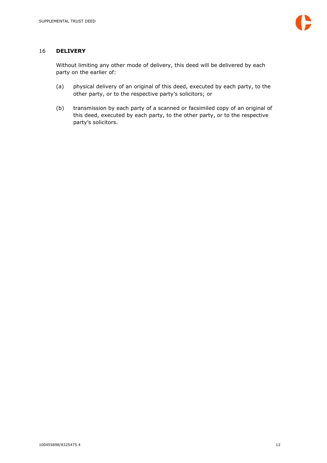#### 16 **DELIVERY**

Without limiting any other mode of delivery, this deed will be delivered by each party on the earlier of:

- (a) physical delivery of an original of this deed, executed by each party, to the other party, or to the respective party's solicitors; or
- (b) transmission by each party of a scanned or facsimiled copy of an original of this deed, executed by each party, to the other party, or to the respective party's solicitors.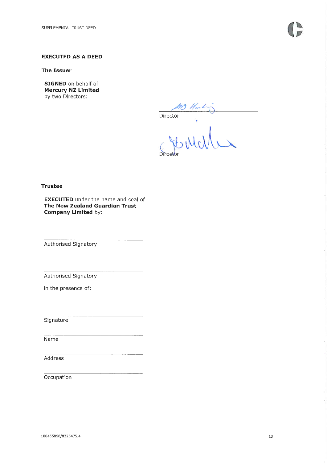#### **EXECUTED AS A DEED**

**The Issuer** 

**SIGNED** on behalf of **Mercury NZ Limited** by two Directors:

 $\overline{\text{Director}}$ 

**Trustee** 

**EXECUTED** under the name and seal of **The New Zealand Guardian Trust Company Limited by:** 

Authorised Signatory

Authorised Signatory

in the presence of:

Signature

Name

Address

Occupation